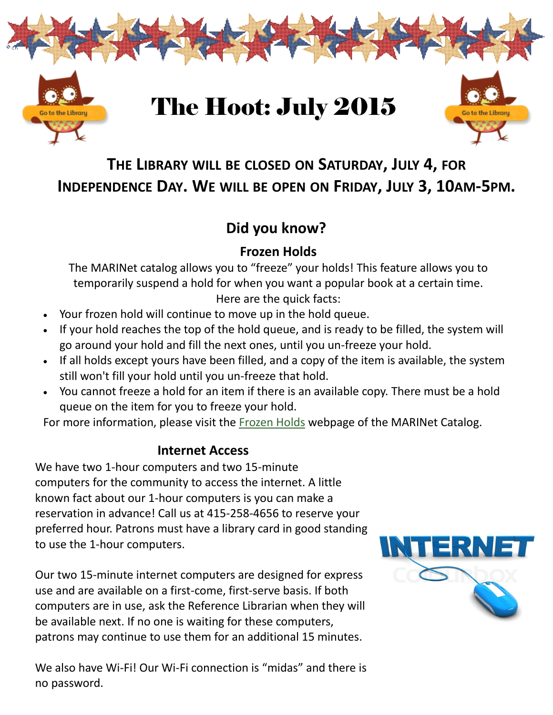

## **THE LIBRARY WILL BE CLOSED ON SATURDAY, JULY 4, FOR INDEPENDENCE DAY. WE WILL BE OPEN ON FRIDAY, JULY 3, 10AM-5PM.**

### **Did you know?**

### **Frozen Holds**

The MARINet catalog allows you to "freeze" your holds! This feature allows you to temporarily suspend a hold for when you want a popular book at a certain time. Here are the quick facts:

- Your frozen hold will continue to move up in the hold queue.
- If your hold reaches the top of the hold queue, and is ready to be filled, the system will go around your hold and fill the next ones, until you un-freeze your hold.
- If all holds except yours have been filled, and a copy of the item is available, the system still won't fill your hold until you un-freeze that hold.
- You cannot freeze a hold for an item if there is an available copy. There must be a hold queue on the item for you to freeze your hold.

For more information, please visit the [Frozen Holds](https://marinet.lib.ca.us/screens/help_freeze_holds.html) webpage of the MARINet Catalog.

### **Internet Access**

We have two 1-hour computers and two 15-minute computers for the community to access the internet. A little known fact about our 1-hour computers is you can make a reservation in advance! Call us at 415-258-4656 to reserve your preferred hour. Patrons must have a library card in good standing to use the 1-hour computers.

Our two 15-minute internet computers are designed for express use and are available on a first-come, first-serve basis. If both computers are in use, ask the Reference Librarian when they will be available next. If no one is waiting for these computers, patrons may continue to use them for an additional 15 minutes.

We also have Wi-Fi! Our Wi-Fi connection is "midas" and there is no password.

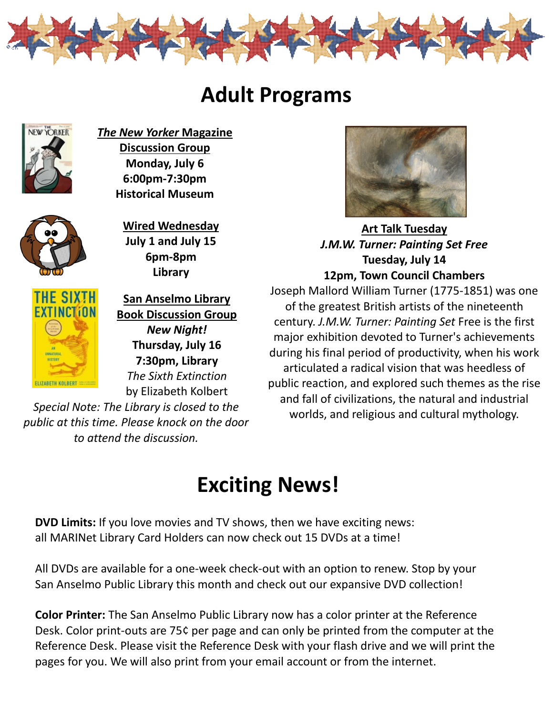

# **Adult Programs**



*The New Yorker* **Magazine Discussion Group Monday, July 6 6:00pm-7:30pm Historical Museum** 



**Wired Wednesday July 1 and July 15 6pm-8pm Library**



**San Anselmo Library Book Discussion Group**  *New Night!*  **Thursday, July 16 7:30pm, Library** *The Sixth Extinction* by Elizabeth Kolbert

*Special Note: The Library is closed to the public at this time. Please knock on the door to attend the discussion.* 



**Art Talk Tuesday** *J.M.W. Turner: Painting Set Free*  **Tuesday, July 14 12pm, Town Council Chambers**

Joseph Mallord William Turner (1775-1851) was one of the greatest British artists of the nineteenth century. *J.M.W. Turner: Painting Set* Free is the first major exhibition devoted to Turner's achievements during his final period of productivity, when his work articulated a radical vision that was heedless of public reaction, and explored such themes as the rise and fall of civilizations, the natural and industrial worlds, and religious and cultural mythology.

# **Exciting News!**

**DVD Limits:** If you love movies and TV shows, then we have exciting news: all MARINet Library Card Holders can now check out 15 DVDs at a time!

All DVDs are available for a one-week check-out with an option to renew. Stop by your San Anselmo Public Library this month and check out our expansive DVD collection!

**Color Printer:** The San Anselmo Public Library now has a color printer at the Reference Desk. Color print-outs are 75¢ per page and can only be printed from the computer at the Reference Desk. Please visit the Reference Desk with your flash drive and we will print the pages for you. We will also print from your email account or from the internet.